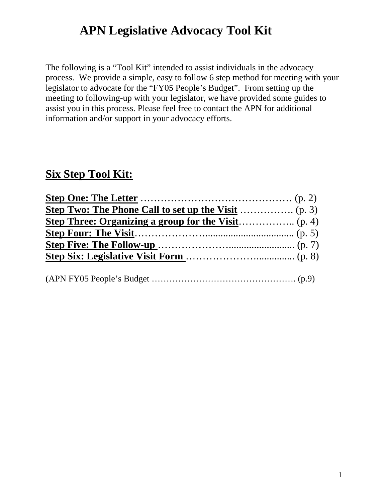# **APN Legislative Advocacy Tool Kit**

The following is a "Tool Kit" intended to assist individuals in the advocacy process. We provide a simple, easy to follow 6 step method for meeting with your legislator to advocate for the "FY05 People's Budget". From setting up the meeting to following-up with your legislator, we have provided some guides to assist you in this process. Please feel free to contact the APN for additional information and/or support in your advocacy efforts.

### **Six Step Tool Kit:**

| <b>Step Three: Organizing a group for the Visit</b> (p. 4) |  |
|------------------------------------------------------------|--|
|                                                            |  |
|                                                            |  |
|                                                            |  |
|                                                            |  |
|                                                            |  |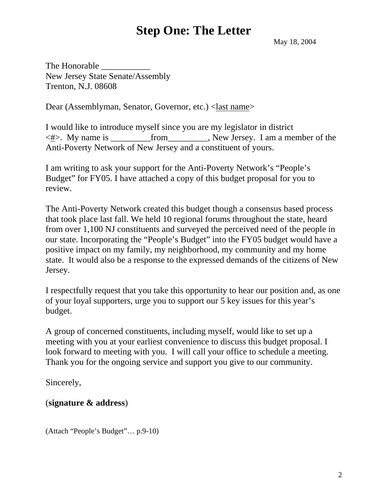### **Step One: The Letter**

May 18, 2004

The Honorable New Jersey State Senate/Assembly Trenton, N.J. 08608

Dear (Assemblyman, Senator, Governor, etc.) <*last name*>

I would like to introduce myself since you are my legislator in district  $\langle # \rangle$ . My name is from From New Jersey. I am a member of the Anti-Poverty Network of New Jersey and a constituent of yours.

I am writing to ask your support for the Anti-Poverty Network's "People's Budget" for FY05. I have attached a copy of this budget proposal for you to review.

The Anti-Poverty Network created this budget though a consensus based process that took place last fall. We held 10 regional forums throughout the state, heard from over 1,100 NJ constituents and surveyed the perceived need of the people in our state. Incorporating the "People's Budget" into the FY05 budget would have a positive impact on my family, my neighborhood, my community and my home state. It would also be a response to the expressed demands of the citizens of New Jersey.

I respectfully request that you take this opportunity to hear our position and, as one of your loyal supporters, urge you to support our 5 key issues for this year's budget.

A group of concerned constituents, including myself, would like to set up a meeting with you at your earliest convenience to discuss this budget proposal. I look forward to meeting with you. I will call your office to schedule a meeting. Thank you for the ongoing service and support you give to our community.

Sincerely,

### (**signature & address**)

(Attach "People's Budget"… p.9-10)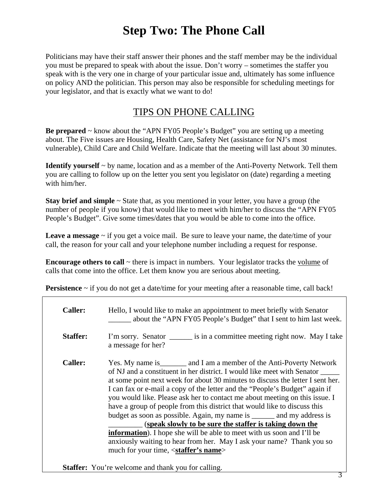## **Step Two: The Phone Call**

Politicians may have their staff answer their phones and the staff member may be the individual you must be prepared to speak with about the issue. Don't worry – sometimes the staffer you speak with is the very one in charge of your particular issue and, ultimately has some influence on policy AND the politician. This person may also be responsible for scheduling meetings for your legislator, and that is exactly what we want to do!

### TIPS ON PHONE CALLING

**Be prepared** ~ know about the "APN FY05 People's Budget" you are setting up a meeting about. The Five issues are Housing, Health Care, Safety Net (assistance for NJ's most vulnerable), Child Care and Child Welfare. Indicate that the meeting will last about 30 minutes.

**Identify yourself** ~ by name, location and as a member of the Anti-Poverty Network. Tell them you are calling to follow up on the letter you sent you legislator on (date) regarding a meeting with him/her.

**Stay brief and simple** ~ State that, as you mentioned in your letter, you have a group (the number of people if you know) that would like to meet with him/her to discuss the "APN FY05 People's Budget". Give some times/dates that you would be able to come into the office.

**Leave a message** ~ if you get a voice mail. Be sure to leave your name, the date/time of your call, the reason for your call and your telephone number including a request for response.

**Encourage others to call** ~ there is impact in numbers. Your legislator tracks the volume of calls that come into the office. Let them know you are serious about meeting.

**Persistence** ~ if you do not get a date/time for your meeting after a reasonable time, call back!

| <b>Caller:</b>  | Hello, I would like to make an appointment to meet briefly with Senator<br>about the "APN FY05 People's Budget" that I sent to him last week.                                                                                                                                                                                                                                                                                                                                                                                                                                                                                                                                                                                                                                                                                           |
|-----------------|-----------------------------------------------------------------------------------------------------------------------------------------------------------------------------------------------------------------------------------------------------------------------------------------------------------------------------------------------------------------------------------------------------------------------------------------------------------------------------------------------------------------------------------------------------------------------------------------------------------------------------------------------------------------------------------------------------------------------------------------------------------------------------------------------------------------------------------------|
| <b>Staffer:</b> | I'm sorry. Senator is in a committee meeting right now. May I take<br>a message for her?                                                                                                                                                                                                                                                                                                                                                                                                                                                                                                                                                                                                                                                                                                                                                |
| <b>Caller:</b>  | Yes. My name is _________ and I am a member of the Anti-Poverty Network<br>of NJ and a constituent in her district. I would like meet with Senator<br>at some point next week for about 30 minutes to discuss the letter I sent her.<br>I can fax or e-mail a copy of the letter and the "People's Budget" again if<br>you would like. Please ask her to contact me about meeting on this issue. I<br>have a group of people from this district that would like to discuss this<br>budget as soon as possible. Again, my name is _______ and my address is<br>(speak slowly to be sure the staffer is taking down the<br><b>information</b> ). I hope she will be able to meet with us soon and I'll be<br>anxiously waiting to hear from her. May I ask your name? Thank you so<br>much for your time, <staffer's name=""></staffer's> |

**Staffer:** You're welcome and thank you for calling.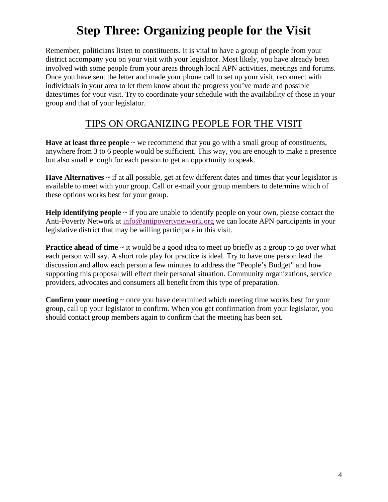# **Step Three: Organizing people for the Visit**

Remember, politicians listen to constituents. It is vital to have a group of people from your district accompany you on your visit with your legislator. Most likely, you have already been involved with some people from your areas through local APN activities, meetings and forums. Once you have sent the letter and made your phone call to set up your visit, reconnect with individuals in your area to let them know about the progress you've made and possible dates/times for your visit. Try to coordinate your schedule with the availability of those in your group and that of your legislator.

### TIPS ON ORGANIZING PEOPLE FOR THE VISIT

**Have at least three people** ~ we recommend that you go with a small group of constituents, anywhere from 3 to 6 people would be sufficient. This way, you are enough to make a presence but also small enough for each person to get an opportunity to speak.

**Have Alternatives** ~ if at all possible, get at few different dates and times that your legislator is available to meet with your group. Call or e-mail your group members to determine which of these options works best for your group.

**Help identifying people**  $\sim$  if you are unable to identify people on your own, please contact the Anti-Poverty Network at [info@antipovertynetwork.org](mailto:info@antipovertynetwork.org) we can locate APN participants in your legislative district that may be willing participate in this visit.

**Practice ahead of time**  $\sim$  it would be a good idea to meet up briefly as a group to go over what each person will say. A short role play for practice is ideal. Try to have one person lead the discussion and allow each person a few minutes to address the "People's Budget" and how supporting this proposal will effect their personal situation. Community organizations, service providers, advocates and consumers all benefit from this type of preparation.

**Confirm your meeting**  $\sim$  once you have determined which meeting time works best for your group, call up your legislator to confirm. When you get confirmation from your legislator, you should contact group members again to confirm that the meeting has been set.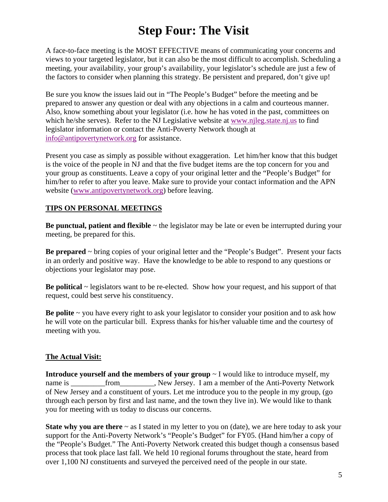# **Step Four: The Visit**

A face-to-face meeting is the MOST EFFECTIVE means of communicating your concerns and views to your targeted legislator, but it can also be the most difficult to accomplish. Scheduling a meeting, your availability, your group's availability, your legislator's schedule are just a few of the factors to consider when planning this strategy. Be persistent and prepared, don't give up!

Be sure you know the issues laid out in "The People's Budget" before the meeting and be prepared to answer any question or deal with any objections in a calm and courteous manner. Also, know something about your legislator (i.e. how he has voted in the past, committees on which he/she serves). Refer to the NJ Legislative website at [www.njleg.state.nj.us](http://www.njleg.state.nj.us/) to find legislator information or contact the Anti-Poverty Network though at [info@antipovertynetwork.org](mailto:info@antipovertynetwork.org) for assistance.

Present you case as simply as possible without exaggeration. Let him/her know that this budget is the voice of the people in NJ and that the five budget items are the top concern for you and your group as constituents. Leave a copy of your original letter and the "People's Budget" for him/her to refer to after you leave. Make sure to provide your contact information and the APN website ([www.antipovertynetwork.org\)](http://www.antipovertynetwork.org/) before leaving.

#### **TIPS ON PERSONAL MEETINGS**

**Be punctual, patient and flexible**  $\sim$  the legislator may be late or even be interrupted during your meeting, be prepared for this.

**Be prepared** ~ bring copies of your original letter and the "People's Budget". Present your facts in an orderly and positive way. Have the knowledge to be able to respond to any questions or objections your legislator may pose.

**Be political** ~ legislators want to be re-elected. Show how your request, and his support of that request, could best serve his constituency.

**Be polite** ~ you have every right to ask your legislator to consider your position and to ask how he will vote on the particular bill. Express thanks for his/her valuable time and the courtesy of meeting with you.

#### **The Actual Visit:**

**Introduce yourself and the members of your group** ~ I would like to introduce myself, my name is \_\_\_\_\_\_\_\_from\_\_\_\_\_\_\_\_, New Jersey. I am a member of the Anti-Poverty Network of New Jersey and a constituent of yours. Let me introduce you to the people in my group, (go through each person by first and last name, and the town they live in). We would like to thank you for meeting with us today to discuss our concerns.

**State why you are there**  $\sim$  as I stated in my letter to you on (date), we are here today to ask your support for the Anti-Poverty Network's "People's Budget" for FY05. (Hand him/her a copy of the "People's Budget." The Anti-Poverty Network created this budget though a consensus based process that took place last fall. We held 10 regional forums throughout the state, heard from over 1,100 NJ constituents and surveyed the perceived need of the people in our state.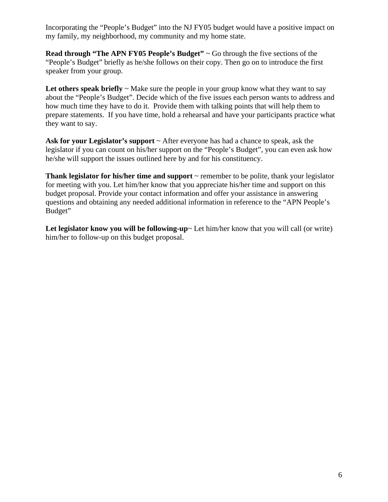Incorporating the "People's Budget" into the NJ FY05 budget would have a positive impact on my family, my neighborhood, my community and my home state.

**Read through "The APN FY05 People's Budget"** ~ Go through the five sections of the "People's Budget" briefly as he/she follows on their copy. Then go on to introduce the first speaker from your group.

Let others speak briefly  $\sim$  Make sure the people in your group know what they want to say about the "People's Budget". Decide which of the five issues each person wants to address and how much time they have to do it. Provide them with talking points that will help them to prepare statements. If you have time, hold a rehearsal and have your participants practice what they want to say.

Ask for your Legislator's support  $\sim$  After everyone has had a chance to speak, ask the legislator if you can count on his/her support on the "People's Budget", you can even ask how he/she will support the issues outlined here by and for his constituency.

**Thank legislator for his/her time and support**  $\sim$  remember to be polite, thank your legislator for meeting with you. Let him/her know that you appreciate his/her time and support on this budget proposal. Provide your contact information and offer your assistance in answering questions and obtaining any needed additional information in reference to the "APN People's Budget"

Let legislator know you will be following-up~ Let him/her know that you will call (or write) him/her to follow-up on this budget proposal.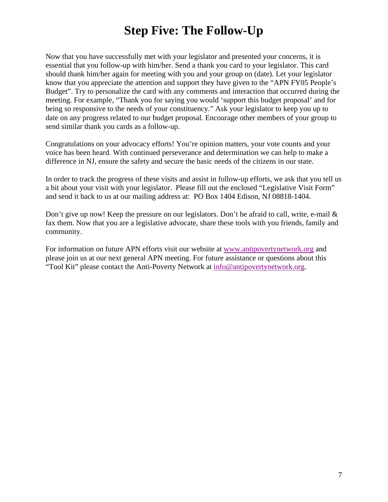## **Step Five: The Follow-Up**

Now that you have successfully met with your legislator and presented your concerns, it is essential that you follow-up with him/her. Send a thank you card to your legislator. This card should thank him/her again for meeting with you and your group on (date). Let your legislator know that you appreciate the attention and support they have given to the "APN FY05 People's Budget". Try to personalize the card with any comments and interaction that occurred during the meeting. For example, "Thank you for saying you would 'support this budget proposal' and for being so responsive to the needs of your constituency." Ask your legislator to keep you up to date on any progress related to our budget proposal. Encourage other members of your group to send similar thank you cards as a follow-up.

Congratulations on your advocacy efforts! You're opinion matters, your vote counts and your voice has been heard. With continued perseverance and determination we can help to make a difference in NJ, ensure the safety and secure the basic needs of the citizens in our state.

In order to track the progress of these visits and assist in follow-up efforts, we ask that you tell us a bit about your visit with your legislator. Please fill out the enclosed "Legislative Visit Form" and send it back to us at our mailing address at: PO Box 1404 Edison, NJ 08818-1404.

Don't give up now! Keep the pressure on our legislators. Don't be afraid to call, write, e-mail  $\&$ fax them. Now that you are a legislative advocate, share these tools with you friends, family and community.

For information on future APN efforts visit our website at [www.antipovertynetwork.org](http://www.antipovertynetwork.org/) and please join us at our next general APN meeting. For future assistance or questions about this "Tool Kit" please contact the Anti-Poverty Network at [info@antipovertynetwork.org.](mailto:info@antipovertynetwork.org)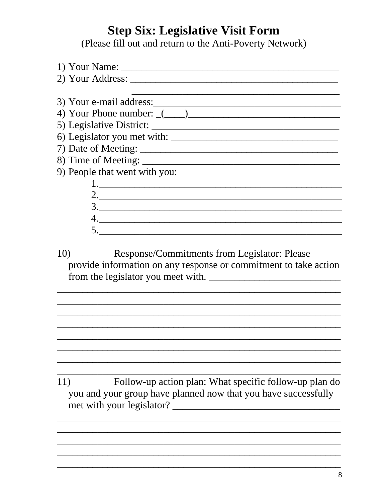## **Step Six: Legislative Visit Form**

(Please fill out and return to the Anti-Poverty Network)

| 3) Your e-mail address:                                                                                                                                                                                                                                                                                                                                                                                                                                                                             |
|-----------------------------------------------------------------------------------------------------------------------------------------------------------------------------------------------------------------------------------------------------------------------------------------------------------------------------------------------------------------------------------------------------------------------------------------------------------------------------------------------------|
|                                                                                                                                                                                                                                                                                                                                                                                                                                                                                                     |
|                                                                                                                                                                                                                                                                                                                                                                                                                                                                                                     |
|                                                                                                                                                                                                                                                                                                                                                                                                                                                                                                     |
|                                                                                                                                                                                                                                                                                                                                                                                                                                                                                                     |
|                                                                                                                                                                                                                                                                                                                                                                                                                                                                                                     |
| 9) People that went with you:                                                                                                                                                                                                                                                                                                                                                                                                                                                                       |
|                                                                                                                                                                                                                                                                                                                                                                                                                                                                                                     |
|                                                                                                                                                                                                                                                                                                                                                                                                                                                                                                     |
| $\begin{array}{c} 3. \end{array}$                                                                                                                                                                                                                                                                                                                                                                                                                                                                   |
| $\begin{array}{c} \n4. \quad \textcolor{blue}{\textbf{12.12}} \quad \textcolor{blue}{\textbf{24.13}} \quad \textcolor{blue}{\textbf{25.13}} \quad \textcolor{blue}{\textbf{26.13}} \quad \textcolor{blue}{\textbf{27.13}} \quad \textcolor{blue}{\textbf{28.13}} \quad \textcolor{blue}{\textbf{29.13}} \quad \textcolor{blue}{\textbf{21.13}} \quad \textcolor{blue}{\textbf{21.13}} \quad \textcolor{blue}{\textbf{21.13}} \quad \textcolor{blue}{\textbf{21.13}} \quad \textcolor{blue}{\textbf$ |
| 5.                                                                                                                                                                                                                                                                                                                                                                                                                                                                                                  |
|                                                                                                                                                                                                                                                                                                                                                                                                                                                                                                     |
| Response/Commitments from Legislator: Please<br>10)                                                                                                                                                                                                                                                                                                                                                                                                                                                 |
| $\bullet$ and $\bullet$ and $\bullet$ and $\bullet$ and $\bullet$ and $\bullet$ and $\bullet$ and $\bullet$ and $\bullet$ and $\bullet$ and $\bullet$ and $\bullet$ and $\bullet$ and $\bullet$ and $\bullet$ and $\bullet$ and $\bullet$ and $\bullet$ and $\bullet$ and $\bullet$ and $\bullet$ and $\bullet$ and $\bullet$ and $\bullet$ and $\bullet$                                                                                                                                           |

provide information on any response or commitment to take action 

Follow-up action plan: What specific follow-up plan do  $11)$ you and your group have planned now that you have successfully met with your legislator?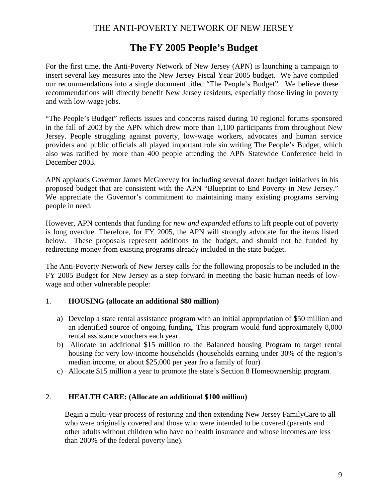### **The FY 2005 People's Budget**

For the first time, the Anti-Poverty Network of New Jersey (APN) is launching a campaign to insert several key measures into the New Jersey Fiscal Year 2005 budget. We have compiled our recommendations into a single document titled "The People's Budget". We believe these recommendations will directly benefit New Jersey residents, especially those living in poverty and with low-wage jobs.

"The People's Budget" reflects issues and concerns raised during 10 regional forums sponsored in the fall of 2003 by the APN which drew more than 1,100 participants from throughout New Jersey. People struggling against poverty, low-wage workers, advocates and human service providers and public officials all played important role sin writing The People's Budget, which also was ratified by more than 400 people attending the APN Statewide Conference held in December 2003.

APN applauds Governor James McGreevey for including several dozen budget initiatives in his proposed budget that are consistent with the APN "Blueprint to End Poverty in New Jersey." We appreciate the Governor's commitment to maintaining many existing programs serving people in need.

However, APN contends that funding for *new and expanded* efforts to lift people out of poverty is long overdue. Therefore, for FY 2005, the APN will strongly advocate for the items listed below. These proposals represent additions to the budget, and should not be funded by redirecting money from existing programs already included in the state budget.

The Anti-Poverty Network of New Jersey calls for the following proposals to be included in the FY 2005 Budget for New Jersey as a step forward in meeting the basic human needs of lowwage and other vulnerable people:

#### 1. **HOUSING (allocate an additional \$80 million)**

- a) Develop a state rental assistance program with an initial appropriation of \$50 million and an identified source of ongoing funding. This program would fund approximately 8,000 rental assistance vouchers each year.
- b) Allocate an additional \$15 million to the Balanced housing Program to target rental housing for very low-income households (households earning under 30% of the region's median income, or about \$25,000 per year fro a family of four)
- c) Allocate \$15 million a year to promote the state's Section 8 Homeownership program.

#### 2. **HEALTH CARE: (Allocate an additional \$100 million)**

Begin a multi-year process of restoring and then extending New Jersey FamilyCare to all who were originally covered and those who were intended to be covered (parents and other adults without children who have no health insurance and whose incomes are less than 200% of the federal poverty line).